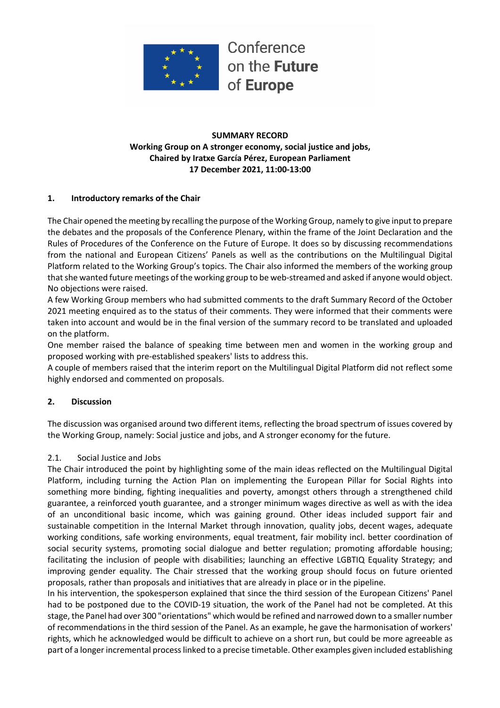

## **SUMMARY RECORD Working Group on A stronger economy, social justice and jobs, Chaired by Iratxe García Pérez, European Parliament 17 December 2021, 11:00-13:00**

## **1. Introductory remarks of the Chair**

The Chair opened the meeting by recalling the purpose of the Working Group, namely to give input to prepare the debates and the proposals of the Conference Plenary, within the frame of the Joint Declaration and the Rules of Procedures of the Conference on the Future of Europe. It does so by discussing recommendations from the national and European Citizens' Panels as well as the contributions on the Multilingual Digital Platform related to the Working Group's topics. The Chair also informed the members of the working group that she wanted future meetings of the working group to be web-streamed and asked if anyone would object. No objections were raised.

A few Working Group members who had submitted comments to the draft Summary Record of the October 2021 meeting enquired as to the status of their comments. They were informed that their comments were taken into account and would be in the final version of the summary record to be translated and uploaded on the platform.

One member raised the balance of speaking time between men and women in the working group and proposed working with pre-established speakers' lists to address this.

A couple of members raised that the interim report on the Multilingual Digital Platform did not reflect some highly endorsed and commented on proposals.

## **2. Discussion**

The discussion was organised around two different items, reflecting the broad spectrum of issues covered by the Working Group, namely: Social justice and jobs, and A stronger economy for the future.

### 2.1. Social Justice and Jobs

The Chair introduced the point by highlighting some of the main ideas reflected on the Multilingual Digital Platform, including turning the Action Plan on implementing the European Pillar for Social Rights into something more binding, fighting inequalities and poverty, amongst others through a strengthened child guarantee, a reinforced youth guarantee, and a stronger minimum wages directive as well as with the idea of an unconditional basic income, which was gaining ground. Other ideas included support fair and sustainable competition in the Internal Market through innovation, quality jobs, decent wages, adequate working conditions, safe working environments, equal treatment, fair mobility incl. better coordination of social security systems, promoting social dialogue and better regulation; promoting affordable housing; facilitating the inclusion of people with disabilities; launching an effective LGBTIQ Equality Strategy; and improving gender equality. The Chair stressed that the working group should focus on future oriented proposals, rather than proposals and initiatives that are already in place or in the pipeline.

In his intervention, the spokesperson explained that since the third session of the European Citizens' Panel had to be postponed due to the COVID-19 situation, the work of the Panel had not be completed. At this stage, the Panel had over 300 "orientations" which would be refined and narrowed down to a smaller number of recommendations in the third session of the Panel. As an example, he gave the harmonisation of workers' rights, which he acknowledged would be difficult to achieve on a short run, but could be more agreeable as part of a longer incremental process linked to a precise timetable. Other examples given included establishing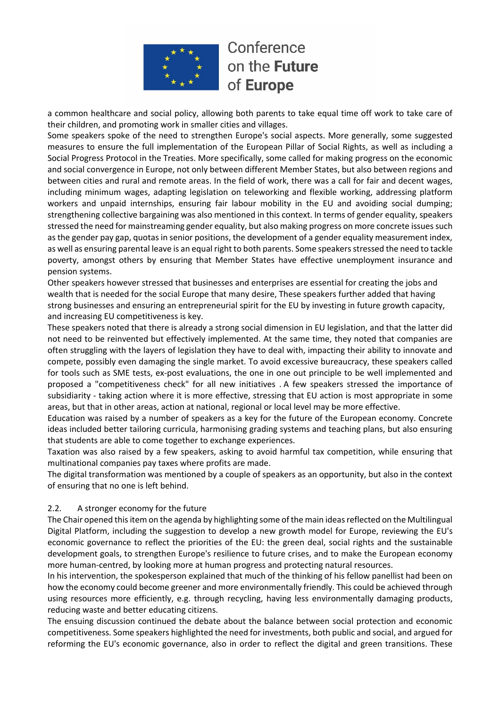

a common healthcare and social policy, allowing both parents to take equal time off work to take care of their children, and promoting work in smaller cities and villages.

Some speakers spoke of the need to strengthen Europe's social aspects. More generally, some suggested measures to ensure the full implementation of the European Pillar of Social Rights, as well as including a Social Progress Protocol in the Treaties. More specifically, some called for making progress on the economic and social convergence in Europe, not only between different Member States, but also between regions and between cities and rural and remote areas. In the field of work, there was a call for fair and decent wages, including minimum wages, adapting legislation on teleworking and flexible working, addressing platform workers and unpaid internships, ensuring fair labour mobility in the EU and avoiding social dumping; strengthening collective bargaining was also mentioned in this context. In terms of gender equality, speakers stressed the need for mainstreaming gender equality, but also making progress on more concrete issues such as the gender pay gap, quotas in senior positions, the development of a gender equality measurement index, as well as ensuring parental leave is an equal right to both parents. Some speakers stressed the need to tackle poverty, amongst others by ensuring that Member States have effective unemployment insurance and pension systems.

Other speakers however stressed that businesses and enterprises are essential for creating the jobs and wealth that is needed for the social Europe that many desire, These speakers further added that having strong businesses and ensuring an entrepreneurial spirit for the EU by investing in future growth capacity, and increasing EU competitiveness is key.

These speakers noted that there is already a strong social dimension in EU legislation, and that the latter did not need to be reinvented but effectively implemented. At the same time, they noted that companies are often struggling with the layers of legislation they have to deal with, impacting their ability to innovate and compete, possibly even damaging the single market. To avoid excessive bureaucracy, these speakers called for tools such as SME tests, ex-post evaluations, the one in one out principle to be well implemented and proposed a "competitiveness check" for all new initiatives . A few speakers stressed the importance of subsidiarity - taking action where it is more effective, stressing that EU action is most appropriate in some areas, but that in other areas, action at national, regional or local level may be more effective.

Education was raised by a number of speakers as a key for the future of the European economy. Concrete ideas included better tailoring curricula, harmonising grading systems and teaching plans, but also ensuring that students are able to come together to exchange experiences.

Taxation was also raised by a few speakers, asking to avoid harmful tax competition, while ensuring that multinational companies pay taxes where profits are made.

The digital transformation was mentioned by a couple of speakers as an opportunity, but also in the context of ensuring that no one is left behind.

### 2.2. A stronger economy for the future

The Chair opened this item on the agenda by highlighting some of the main ideas reflected on the Multilingual Digital Platform, including the suggestion to develop a new growth model for Europe, reviewing the EU's economic governance to reflect the priorities of the EU: the green deal, social rights and the sustainable development goals, to strengthen Europe's resilience to future crises, and to make the European economy more human-centred, by looking more at human progress and protecting natural resources.

In his intervention, the spokesperson explained that much of the thinking of his fellow panellist had been on how the economy could become greener and more environmentally friendly. This could be achieved through using resources more efficiently, e.g. through recycling, having less environmentally damaging products, reducing waste and better educating citizens.

The ensuing discussion continued the debate about the balance between social protection and economic competitiveness. Some speakers highlighted the need for investments, both public and social, and argued for reforming the EU's economic governance, also in order to reflect the digital and green transitions. These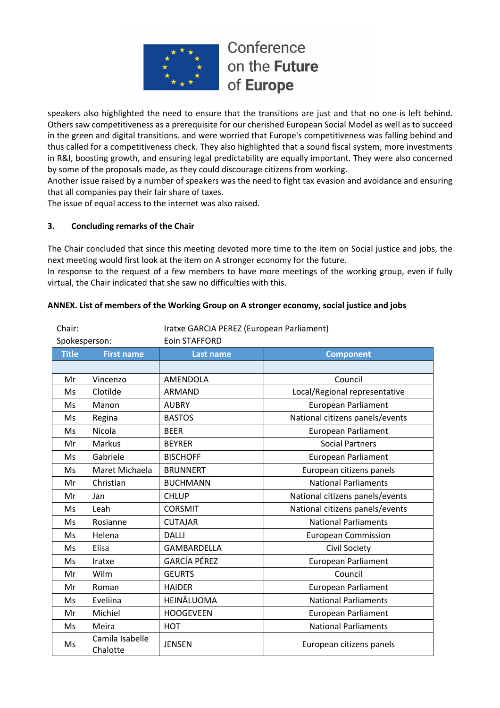

speakers also highlighted the need to ensure that the transitions are just and that no one is left behind. Others saw competitiveness as a prerequisite for our cherished European Social Model as well as to succeed in the green and digital transitions. and were worried that Europe's competitiveness was falling behind and thus called for a competitiveness check. They also highlighted that a sound fiscal system, more investments in R&I, boosting growth, and ensuring legal predictability are equally important. They were also concerned by some of the proposals made, as they could discourage citizens from working.

Another issue raised by a number of speakers was the need to fight tax evasion and avoidance and ensuring that all companies pay their fair share of taxes.

The issue of equal access to the internet was also raised.

## **3. Concluding remarks of the Chair**

The Chair concluded that since this meeting devoted more time to the item on Social justice and jobs, the next meeting would first look at the item on A stronger economy for the future.

In response to the request of a few members to have more meetings of the working group, even if fully virtual, the Chair indicated that she saw no difficulties with this.

| Chair:        |                             | Iratxe GARCIA PEREZ (European Parliament) |                                 |  |
|---------------|-----------------------------|-------------------------------------------|---------------------------------|--|
| Spokesperson: |                             | Eoin STAFFORD                             |                                 |  |
| <b>Title</b>  | <b>First name</b>           | Last name                                 | <b>Component</b>                |  |
|               |                             |                                           |                                 |  |
| Mr            | Vincenzo                    | AMENDOLA                                  | Council                         |  |
| Ms            | Clotilde                    | <b>ARMAND</b>                             | Local/Regional representative   |  |
| Ms            | Manon                       | <b>AUBRY</b>                              | <b>European Parliament</b>      |  |
| Ms            | Regina                      | <b>BASTOS</b>                             | National citizens panels/events |  |
| Ms            | Nicola                      | <b>BEER</b>                               | <b>European Parliament</b>      |  |
| Mr            | <b>Markus</b>               | <b>BEYRER</b>                             | <b>Social Partners</b>          |  |
| Ms            | Gabriele                    | <b>BISCHOFF</b>                           | <b>European Parliament</b>      |  |
| Ms            | Maret Michaela              | <b>BRUNNERT</b>                           | European citizens panels        |  |
| Mr            | Christian                   | <b>BUCHMANN</b>                           | <b>National Parliaments</b>     |  |
| Mr            | Jan                         | <b>CHLUP</b>                              | National citizens panels/events |  |
| Ms            | Leah                        | <b>CORSMIT</b>                            | National citizens panels/events |  |
| Ms            | Rosianne                    | <b>CUTAJAR</b>                            | <b>National Parliaments</b>     |  |
| Ms            | Helena                      | <b>DALLI</b>                              | <b>European Commission</b>      |  |
| Ms            | Elisa                       | <b>GAMBARDELLA</b>                        | Civil Society                   |  |
| Ms            | Iratxe                      | <b>GARCÍA PÉREZ</b>                       | <b>European Parliament</b>      |  |
| Mr            | Wilm                        | <b>GEURTS</b>                             | Council                         |  |
| Mr            | Roman                       | <b>HAIDER</b>                             | <b>European Parliament</b>      |  |
| Ms            | Eveliina                    | HEINÄLUOMA                                | <b>National Parliaments</b>     |  |
| Mr            | Michiel                     | <b>HOOGEVEEN</b>                          | <b>European Parliament</b>      |  |
| Ms            | Meira                       | <b>HOT</b>                                | <b>National Parliaments</b>     |  |
| Ms            | Camila Isabelle<br>Chalotte | <b>JENSEN</b>                             | European citizens panels        |  |

#### **ANNEX. List of members of the Working Group on A stronger economy, social justice and jobs**